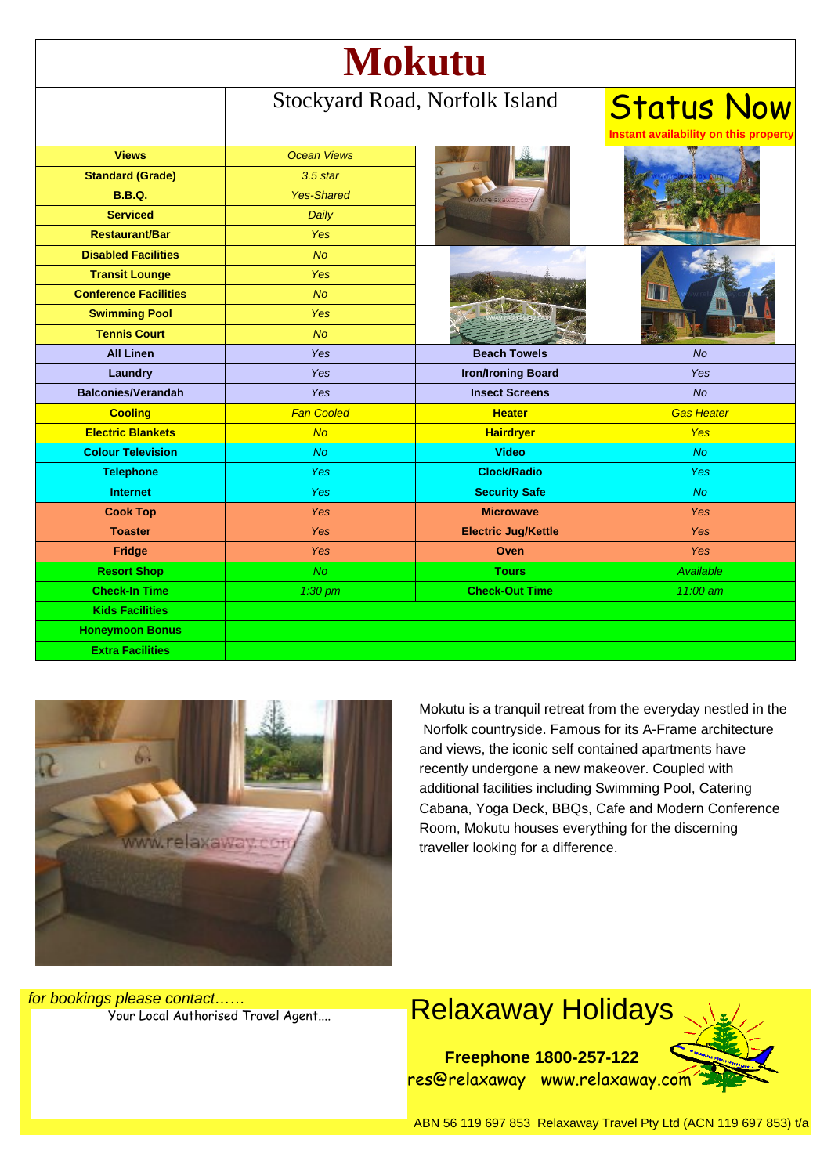| <b>Mokutu</b>                |                                |                            |                                                            |
|------------------------------|--------------------------------|----------------------------|------------------------------------------------------------|
|                              | Stockyard Road, Norfolk Island |                            | <b>Status Now</b><br>Instant availability on this property |
| <b>Views</b>                 | <b>Ocean Views</b>             |                            |                                                            |
| <b>Standard (Grade)</b>      | $3.5$ star                     |                            |                                                            |
| <b>B.B.Q.</b>                | <b>Yes-Shared</b>              |                            |                                                            |
| <b>Serviced</b>              | Daily                          |                            |                                                            |
| <b>Restaurant/Bar</b>        | <b>Yes</b>                     |                            |                                                            |
| <b>Disabled Facilities</b>   | <b>No</b>                      |                            |                                                            |
| <b>Transit Lounge</b>        | Yes                            |                            |                                                            |
| <b>Conference Facilities</b> | <b>No</b>                      |                            |                                                            |
| <b>Swimming Pool</b>         | Yes                            |                            |                                                            |
| <b>Tennis Court</b>          | No                             |                            |                                                            |
| <b>All Linen</b>             | Yes                            | <b>Beach Towels</b>        | <b>No</b>                                                  |
| Laundry                      | Yes                            | <b>Iron/Ironing Board</b>  | Yes                                                        |
| <b>Balconies/Verandah</b>    | Yes                            | <b>Insect Screens</b>      | No                                                         |
| <b>Cooling</b>               | <b>Fan Cooled</b>              | <b>Heater</b>              | <b>Gas Heater</b>                                          |
| <b>Electric Blankets</b>     | No                             | <b>Hairdryer</b>           | <b>Yes</b>                                                 |
| <b>Colour Television</b>     | No                             | <b>Video</b>               | No                                                         |
| <b>Telephone</b>             | <b>Yes</b>                     | <b>Clock/Radio</b>         | <b>Yes</b>                                                 |
| <b>Internet</b>              | Yes                            | <b>Security Safe</b>       | <b>No</b>                                                  |
| <b>Cook Top</b>              | Yes                            | <b>Microwave</b>           | Yes                                                        |
| <b>Toaster</b>               | Yes                            | <b>Electric Jug/Kettle</b> | Yes                                                        |
| Fridge                       | Yes                            | Oven                       | <b>Yes</b>                                                 |
| <b>Resort Shop</b>           | No.                            | <b>Tours</b>               | Available                                                  |
| <b>Check-In Time</b>         | $1:30$ pm                      | <b>Check-Out Time</b>      | 11:00 am                                                   |
| <b>Kids Facilities</b>       |                                |                            |                                                            |
| <b>Honeymoon Bonus</b>       |                                |                            |                                                            |
| <b>Extra Facilities</b>      |                                |                            |                                                            |



Mokutu is a tranquil retreat from the everyday nestled in the Norfolk countryside. Famous for its A-Frame architecture and views, the iconic self contained apartments have recently undergone a new makeover. Coupled with additional facilities including Swimming Pool, Catering Cabana, Yoga Deck, BBQs, Cafe and Modern Conference Room, Mokutu houses everything for the discerning traveller looking for a difference.

for bookings please contact……